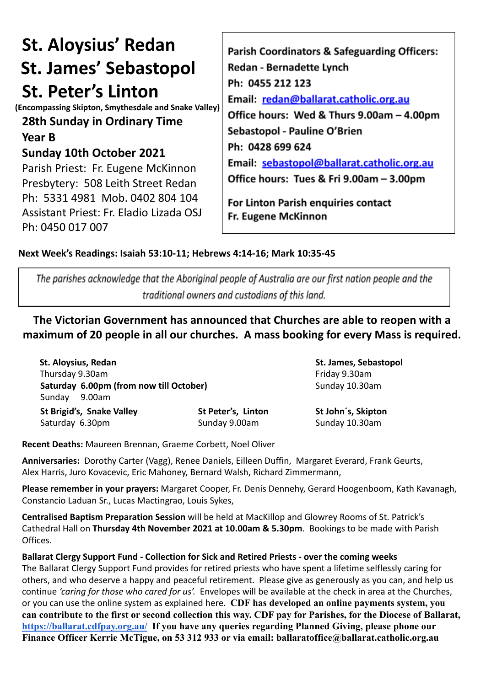# **St. Aloysius' Redan St. James' Sebastopol St. Peter's Linton**

**(Encompassing Skipton, Smythesdale and Snake Valley)**

# **28th Sunday in Ordinary Time**

**Year B**

## **Sunday 10th October 2021**

Parish Priest: Fr. Eugene McKinnon Presbytery: 508 Leith Street Redan Ph: 5331 4981 Mob. 0402 804 104 Assistant Priest: Fr. Eladio Lizada OSJ Ph: 0450 017 007

Parish Coordinators & Safeguarding Officers: **Redan - Bernadette Lynch** Ph: 0455 212 123 Email: redan@ballarat.catholic.org.au Office hours: Wed & Thurs 9.00am - 4.00pm Sebastopol - Pauline O'Brien Ph: 0428 699 624 Email: sebastopol@ballarat.catholic.org.au Office hours: Tues & Fri 9.00am - 3.00pm

For Linton Parish enquiries contact Fr. Eugene McKinnon

### **Next Week's Readings: Isaiah 53:10-11; Hebrews 4:14-16; Mark 10:35-45**

The parishes acknowledge that the Aboriginal people of Australia are our first nation people and the traditional owners and custodians of this land.

**The Victorian Government has announced that Churches are able to reopen with a maximum of 20 people in all our churches. A mass booking for every Mass is required.**

**St. Aloysius, Redan St. James, Sebastopol** Thursday 9.30am **Friday 9.30am Saturday 6.00pm (from now till October)** Sunday 10.30am Sunday 9.00am **St Brigid's, Snake Valley St Peter's, Linton St John´s, Skipton**

Saturday 6.30pm Sunday 9.00am Sunday 9.00am

**Recent Deaths:** Maureen Brennan, Graeme Corbett, Noel Oliver

**Anniversaries:** Dorothy Carter (Vagg), Renee Daniels, Eilleen Duffin, Margaret Everard, Frank Geurts, Alex Harris, Juro Kovacevic, Eric Mahoney, Bernard Walsh, Richard Zimmermann,

**Please remember in your prayers:** Margaret Cooper, Fr. Denis Dennehy, Gerard Hoogenboom, Kath Kavanagh, Constancio Laduan Sr., Lucas Mactingrao, Louis Sykes,

**Centralised Baptism Preparation Session** will be held at MacKillop and Glowrey Rooms of St. Patrick's Cathedral Hall on **Thursday 4th November 2021 at 10.00am & 5.30pm**. Bookings to be made with Parish Offices.

**Ballarat Clergy Support Fund - Collection for Sick and Retired Priests - over the coming weeks** The Ballarat Clergy Support Fund provides for retired priests who have spent a lifetime selflessly caring for others, and who deserve a happy and peaceful retirement. Please give as generously as you can, and help us continue *'caring for those who cared for us'.* Envelopes will be available at the check in area at the Churches, or you can use the online system as explained here. **CDF has developed an online payments system, you can contribute to the first or second collection this way. CDF pay for Parishes, for the Diocese of Ballarat, <https://ballarat.cdfpay.org.au/> If you have any queries regarding Planned Giving, please phone our Finance Officer Kerrie McTigue, on 53 312 933 or via email: ballaratoffice@ballarat.catholic.org.au**